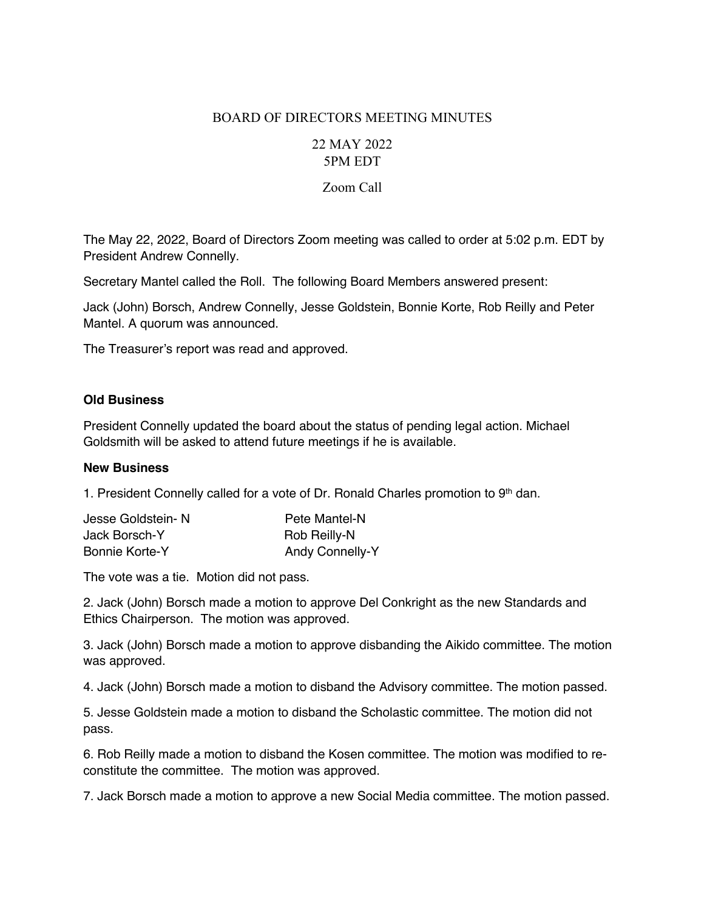## BOARD OF DIRECTORS MEETING MINUTES

# 22 MAY 2022 5PM EDT

### Zoom Call

The May 22, 2022, Board of Directors Zoom meeting was called to order at 5:02 p.m. EDT by President Andrew Connelly.

Secretary Mantel called the Roll. The following Board Members answered present:

Jack (John) Borsch, Andrew Connelly, Jesse Goldstein, Bonnie Korte, Rob Reilly and Peter Mantel. A quorum was announced.

The Treasurer's report was read and approved.

### **Old Business**

President Connelly updated the board about the status of pending legal action. Michael Goldsmith will be asked to attend future meetings if he is available.

#### **New Business**

1. President Connelly called for a vote of Dr. Ronald Charles promotion to  $9<sup>th</sup>$  dan.

| Jesse Goldstein-N     | Pete Mantel-N          |
|-----------------------|------------------------|
| Jack Borsch-Y         | Rob Reilly-N           |
| <b>Bonnie Korte-Y</b> | <b>Andy Connelly-Y</b> |

The vote was a tie. Motion did not pass.

2. Jack (John) Borsch made a motion to approve Del Conkright as the new Standards and Ethics Chairperson. The motion was approved.

3. Jack (John) Borsch made a motion to approve disbanding the Aikido committee. The motion was approved.

4. Jack (John) Borsch made a motion to disband the Advisory committee. The motion passed.

5. Jesse Goldstein made a motion to disband the Scholastic committee. The motion did not pass.

6. Rob Reilly made a motion to disband the Kosen committee. The motion was modified to reconstitute the committee. The motion was approved.

7. Jack Borsch made a motion to approve a new Social Media committee. The motion passed.